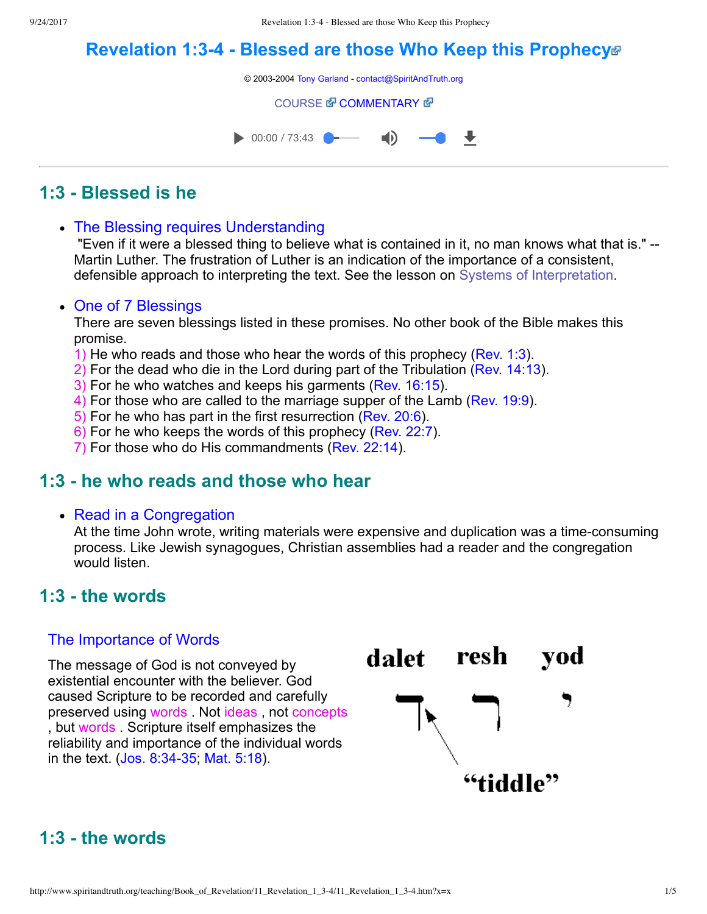# **[Revelation 1:34 Blessed are those Who Keep this Prophecy](http://www.spiritandtruth.org/teaching/Book_of_Revelation/11_Revelation_1_3-4/index.htm)**

© 2003-2004 [Tony Garland](http://www.spiritandtruth.org/teaching/teachers/tony_garland/bio.htm) - [contact@SpiritAndTruth.org](mailto:contact@SpiritAndTruth.org?subject=ST-MAIL:%20Revelation%201:3-4%20-%20Blessed%20are%20those%20Who%20Keep%20this%20Prophecy)

#### **[COURSE](http://www.spiritandtruth.org/teaching/Book_of_Revelation/11_Revelation_1_3-4/index.htm) & [COMMENTARY](http://www.spiritandtruth.org/teaching/Book_of_Revelation/commentary/htm/index.html?Revelation_1:3) &**



## **1:3 Blessed is he**

• The Blessing requires Understanding

 "Even if it were a blessed thing to believe what is contained in it, no man knows what that is." Martin Luther. The frustration of Luther is an indication of the importance of a consistent, defensible approach to interpreting the text. See the lesson on [Systems of Interpretation.](http://www.spiritandtruth.org/teaching/Book_of_Revelation/08_introduction/index.htm)

#### • One of 7 Blessings

There are seven blessings listed in these promises. No other book of the Bible makes this promise.

- 1) He who reads and those who hear the words of this prophecy ([Rev. 1:3\)](http://www.spiritandtruth.org/bibles/nasb/b66c001.htm#Rev._C1V3).
- 2) For the dead who die in the Lord during part of the Tribulation ([Rev. 14:13\)](http://www.spiritandtruth.org/bibles/nasb/b66c014.htm#Rev._C14V13).
- 3) For he who watches and keeps his garments ([Rev. 16:15\)](http://www.spiritandtruth.org/bibles/nasb/b66c016.htm#Rev._C16V15).
- 4) For those who are called to the marriage supper of the Lamb ([Rev. 19:9](http://www.spiritandtruth.org/bibles/nasb/b66c019.htm#Rev._C19V9)).
- 5) For he who has part in the first resurrection [\(Rev. 20:6\)](http://www.spiritandtruth.org/bibles/nasb/b66c020.htm#Rev._C20V6).
- 6) For he who keeps the words of this prophecy ([Rev. 22:7\)](http://www.spiritandtruth.org/bibles/nasb/b66c022.htm#Rev._C22V7).
- 7) For those who do His commandments ([Rev. 22:14\)](http://www.spiritandtruth.org/bibles/nasb/b66c022.htm#Rev._C22V14).

### **1:3 he who reads and those who hear**

#### • Read in a Congregation

At the time John wrote, writing materials were expensive and duplication was a time-consuming process. Like Jewish synagogues, Christian assemblies had a reader and the congregation would listen.

### **1:3 the words**

#### The Importance of Words

The message of God is not conveyed by existential encounter with the believer. God caused Scripture to be recorded and carefully preserved using words . Not ideas , not concepts , but words . Scripture itself emphasizes the reliability and importance of the individual words in the text. (Jos. 8:34-35; [Mat. 5:18](http://www.spiritandtruth.org/bibles/nasb/b40c005.htm#Mat._C5V18)).



# **1:3 the words**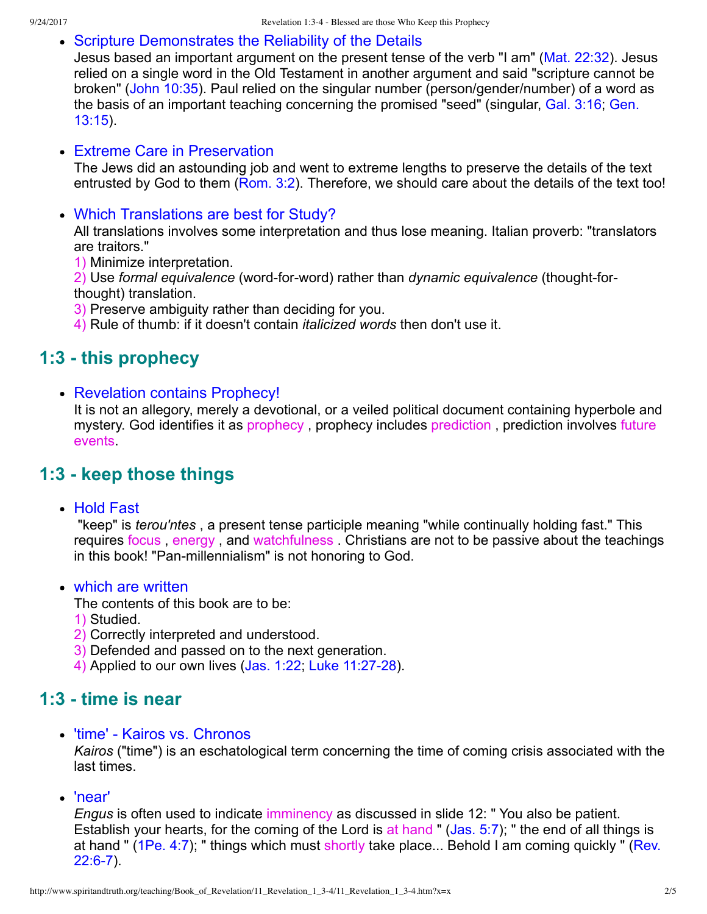#### Scripture Demonstrates the Reliability of the Details

Jesus based an important argument on the present tense of the verb "I am" [\(Mat. 22:32\)](http://www.spiritandtruth.org/bibles/nasb/b40c022.htm#Mat._C22V32). Jesus relied on a single word in the Old Testament in another argument and said "scripture cannot be broken" [\(John 10:35\)](http://www.spiritandtruth.org/bibles/nasb/b43c010.htm#John_C10V35). Paul relied on the singular number (person/gender/number) of a word as [the basis of an important teaching concerning the promised "seed" \(singular, Gal. 3:16; Gen.](http://www.spiritandtruth.org/bibles/nasb/b01c013.htm#Gen._C13V15) 13:15).

#### Extreme Care in Preservation

The Jews did an astounding job and went to extreme lengths to preserve the details of the text entrusted by God to them ([Rom. 3:2](http://www.spiritandtruth.org/bibles/nasb/b45c003.htm#Rom._C3V2)). Therefore, we should care about the details of the text too!

Which Translations are best for Study?

All translations involves some interpretation and thus lose meaning. Italian proverb: "translators are traitors."

1) Minimize interpretation.

2) Use *formal equivalence* (word-for-word) rather than *dynamic equivalence* (thought-forthought) translation.

3) Preserve ambiguity rather than deciding for you.

4) Rule of thumb: if it doesn't contain *italicized words* then don't use it.

### **1:3 this prophecy**

• Revelation contains Prophecy!

It is not an allegory, merely a devotional, or a veiled political document containing hyperbole and mystery. God identifies it as prophecy, prophecy includes prediction, prediction involves future events.

### **1:3 keep those things**

• Hold Fast

 "keep" is *terou'ntes* , a present tense participle meaning "while continually holding fast." This requires focus , energy , and watchfulness . Christians are not to be passive about the teachings in this book! "Pan-millennialism" is not honoring to God.

• which are written

The contents of this book are to be:

- 1) Studied.
- 2) Correctly interpreted and understood.
- 3) Defended and passed on to the next generation.
- 4) Applied to our own lives [\(Jas. 1:22;](http://www.spiritandtruth.org/bibles/nasb/b59c001.htm#Jas._C1V22) Luke 11:27-28).

### **1:3 time is near**

• 'time' - Kairos vs. Chronos

*Kairos* ("time") is an eschatological term concerning the time of coming crisis associated with the last times.

'near'

*Engus* is often used to indicate imminency as discussed in slide 12: " You also be patient. Establish your hearts, for the coming of the Lord is at hand " [\(Jas. 5:7](http://www.spiritandtruth.org/bibles/nasb/b59c005.htm#Jas._C5V7)); " the end of all things is at hand " ( $1Pe. 4:7$ ); " things which must shortly take place... Behold I am coming quickly " (Rev.  $22:6-7$ ).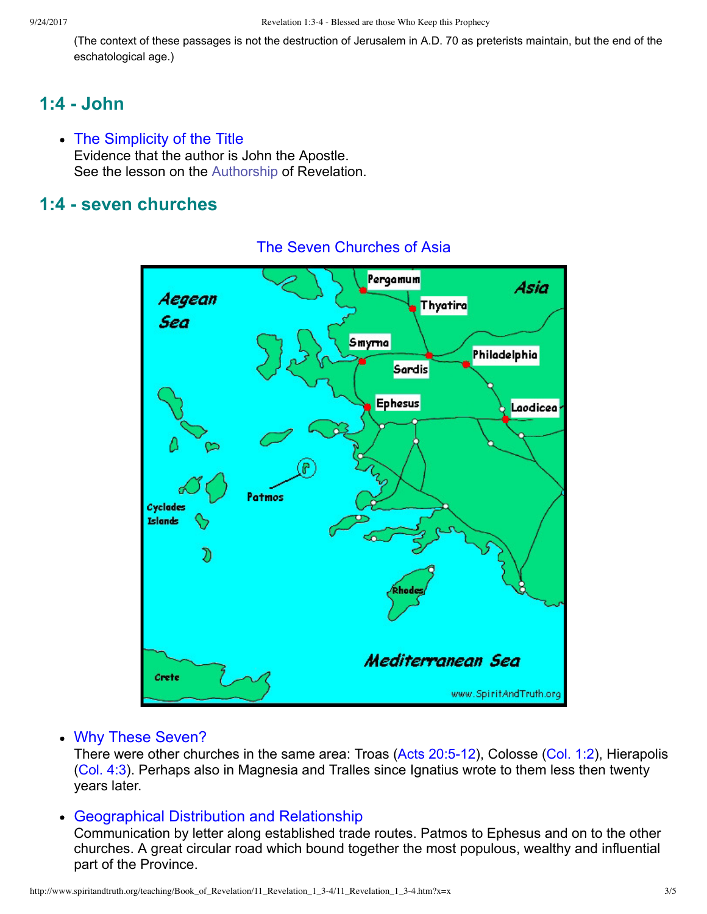(The context of these passages is not the destruction of Jerusalem in A.D. 70 as preterists maintain, but the end of the eschatological age.)

## **1:4 John**

• The Simplicity of the Title Evidence that the author is John the Apostle. See the lesson on the [Authorship](http://www.spiritandtruth.org/teaching/Book_of_Revelation/04_introduction/index.htm) of Revelation.

### **1:4 seven churches**



### The Seven Churches of Asia

#### Why These Seven?

There were other churches in the same area: Troas (Acts 20:5-12), Colosse [\(Col. 1:2\)](http://www.spiritandtruth.org/bibles/nasb/b51c001.htm#Col._C1V2), Hierapolis [\(Col. 4:3](http://www.spiritandtruth.org/bibles/nasb/b51c004.htm#Col._C4V3)). Perhaps also in Magnesia and Tralles since Ignatius wrote to them less then twenty years later.

#### Geographical Distribution and Relationship

Communication by letter along established trade routes. Patmos to Ephesus and on to the other churches. A great circular road which bound together the most populous, wealthy and influential part of the Province.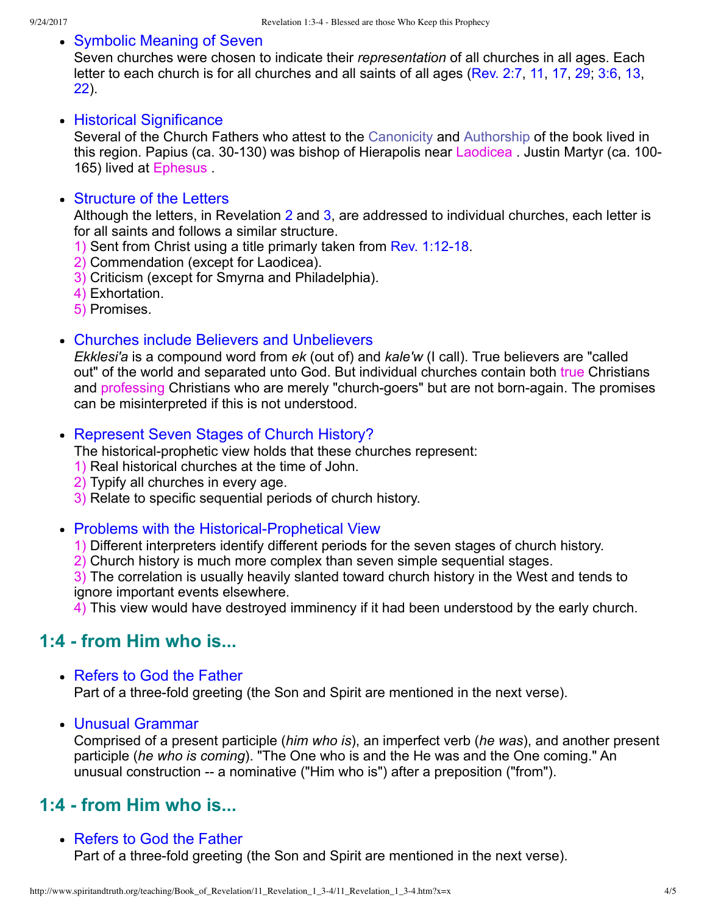#### • Symbolic Meaning of Seven

Seven churches were chosen to indicate their *representation* of all churches in all ages. Each letter to each church is for all churches and all saints of all ages ([Rev. 2:7](http://www.spiritandtruth.org/bibles/nasb/b66c002.htm#Rev._C2V7), [11,](http://www.spiritandtruth.org/bibles/nasb/b66c002.htm#Rev._C2V11) [17](http://www.spiritandtruth.org/bibles/nasb/b66c002.htm#Rev._C2V17), [29](http://www.spiritandtruth.org/bibles/nasb/b66c002.htm#Rev._C2V29); [3:6,](http://www.spiritandtruth.org/bibles/nasb/b66c003.htm#Rev._C3V7) [13,](http://www.spiritandtruth.org/bibles/nasb/b66c003.htm#Rev._C3V13) [22\)](http://www.spiritandtruth.org/bibles/nasb/b66c003.htm#Rev._C3V22).

#### • Historical Significance

Several of the Church Fathers who attest to the [Canonicity](http://www.spiritandtruth.org/teaching/Book_of_Revelation/05_introduction/index.htm) and [Authorship](http://www.spiritandtruth.org/teaching/Book_of_Revelation/04_introduction/index.htm) of the book lived in this region. Papius (ca. 30-130) was bishop of Hierapolis near Laodicea. Justin Martyr (ca. 100-165) lived at Ephesus .

#### • Structure of the Letters

Although the letters, in Revelation [2](http://www.spiritandtruth.org/bibles/nasb/b66c002.htm#Rev._C2V1) and [3](http://www.spiritandtruth.org/bibles/nasb/b66c003.htm#Rev._C3V1), are addressed to individual churches, each letter is for all saints and follows a similar structure.

- 1) Sent from Christ using a title primarly taken from Rev. 1:12-18.
- 2) Commendation (except for Laodicea).
- 3) Criticism (except for Smyrna and Philadelphia).
- 4) Exhortation.
- 5) Promises.
- Churches include Believers and Unbelievers

*Ekklesi'a* is a compound word from *ek* (out of) and *kale'w* (I call). True believers are "called out" of the world and separated unto God. But individual churches contain both true Christians and professing Christians who are merely "church-goers" but are not born-again. The promises can be misinterpreted if this is not understood.

#### Represent Seven Stages of Church History?

The historical-prophetic view holds that these churches represent:

- 1) Real historical churches at the time of John.
- 2) Typify all churches in every age.
- 3) Relate to specific sequential periods of church history.

#### • Problems with the Historical-Prophetical View

1) Different interpreters identify different periods for the seven stages of church history.

2) Church history is much more complex than seven simple sequential stages.

3) The correlation is usually heavily slanted toward church history in the West and tends to ignore important events elsewhere.

4) This view would have destroyed imminency if it had been understood by the early church.

### **1:4 from Him who is...**

- Refers to God the Father Part of a three-fold greeting (the Son and Spirit are mentioned in the next verse).
- Unusual Grammar

Comprised of a present participle (*him who is*), an imperfect verb (*he was*), and another present participle (*he who is coming*). "The One who is and the He was and the One coming." An unusual construction -- a nominative ("Him who is") after a preposition ("from").

### **1:4 from Him who is...**

• Refers to God the Father

Part of a three-fold greeting (the Son and Spirit are mentioned in the next verse).